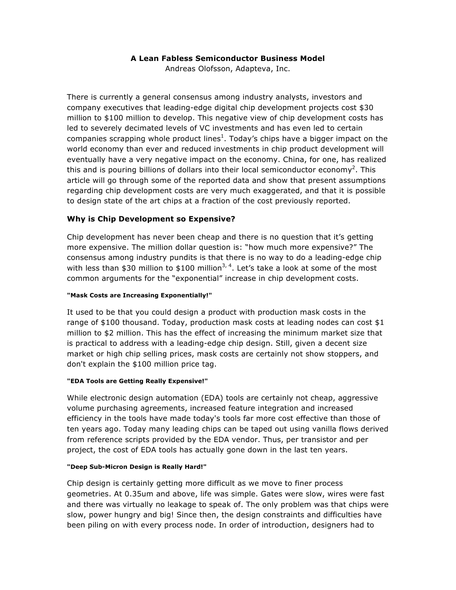## **A Lean Fabless Semiconductor Business Model**

Andreas Olofsson, Adapteva, Inc.

There is currently a general consensus among industry analysts, investors and company executives that leading-edge digital chip development projects cost \$30 million to \$100 million to develop. This negative view of chip development costs has led to severely decimated levels of VC investments and has even led to certain companies scrapping whole product lines<sup>1</sup>. Today's chips have a bigger impact on the world economy than ever and reduced investments in chip product development will eventually have a very negative impact on the economy. China, for one, has realized this and is pouring billions of dollars into their local semiconductor economy<sup>2</sup>. This article will go through some of the reported data and show that present assumptions regarding chip development costs are very much exaggerated, and that it is possible to design state of the art chips at a fraction of the cost previously reported.

## **Why is Chip Development so Expensive?**

Chip development has never been cheap and there is no question that it's getting more expensive. The million dollar question is: "how much more expensive?" The consensus among industry pundits is that there is no way to do a leading-edge chip with less than \$30 million to \$100 million<sup>3, 4</sup>. Let's take a look at some of the most common arguments for the "exponential" increase in chip development costs.

## **"Mask Costs are Increasing Exponentially!"**

It used to be that you could design a product with production mask costs in the range of \$100 thousand. Today, production mask costs at leading nodes can cost \$1 million to \$2 million. This has the effect of increasing the minimum market size that is practical to address with a leading-edge chip design. Still, given a decent size market or high chip selling prices, mask costs are certainly not show stoppers, and don't explain the \$100 million price tag.

## **"EDA Tools are Getting Really Expensive!"**

While electronic design automation (EDA) tools are certainly not cheap, aggressive volume purchasing agreements, increased feature integration and increased efficiency in the tools have made today's tools far more cost effective than those of ten years ago. Today many leading chips can be taped out using vanilla flows derived from reference scripts provided by the EDA vendor. Thus, per transistor and per project, the cost of EDA tools has actually gone down in the last ten years.

## **"Deep Sub-Micron Design is Really Hard!"**

Chip design is certainly getting more difficult as we move to finer process geometries. At 0.35um and above, life was simple. Gates were slow, wires were fast and there was virtually no leakage to speak of. The only problem was that chips were slow, power hungry and big! Since then, the design constraints and difficulties have been piling on with every process node. In order of introduction, designers had to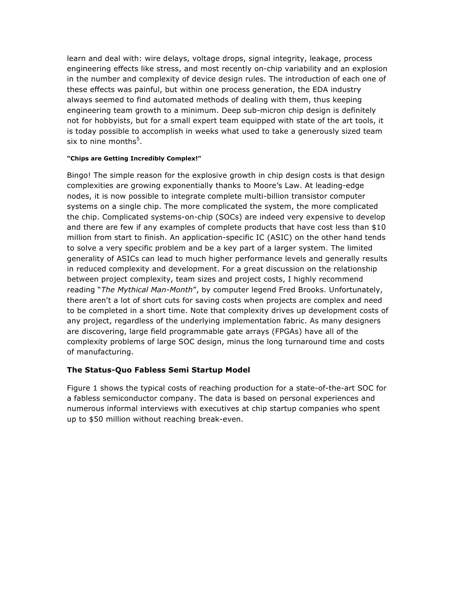learn and deal with: wire delays, voltage drops, signal integrity, leakage, process engineering effects like stress, and most recently on-chip variability and an explosion in the number and complexity of device design rules. The introduction of each one of these effects was painful, but within one process generation, the EDA industry always seemed to find automated methods of dealing with them, thus keeping engineering team growth to a minimum. Deep sub-micron chip design is definitely not for hobbyists, but for a small expert team equipped with state of the art tools, it is today possible to accomplish in weeks what used to take a generously sized team six to nine months $^5$ .

#### **"Chips are Getting Incredibly Complex!"**

Bingo! The simple reason for the explosive growth in chip design costs is that design complexities are growing exponentially thanks to Moore's Law. At leading-edge nodes, it is now possible to integrate complete multi-billion transistor computer systems on a single chip. The more complicated the system, the more complicated the chip. Complicated systems-on-chip (SOCs) are indeed very expensive to develop and there are few if any examples of complete products that have cost less than \$10 million from start to finish. An application-specific IC (ASIC) on the other hand tends to solve a very specific problem and be a key part of a larger system. The limited generality of ASICs can lead to much higher performance levels and generally results in reduced complexity and development. For a great discussion on the relationship between project complexity, team sizes and project costs, I highly recommend reading "*The Mythical Man-Month*", by computer legend Fred Brooks. Unfortunately, there aren't a lot of short cuts for saving costs when projects are complex and need to be completed in a short time. Note that complexity drives up development costs of any project, regardless of the underlying implementation fabric. As many designers are discovering, large field programmable gate arrays (FPGAs) have all of the complexity problems of large SOC design, minus the long turnaround time and costs of manufacturing.

# **The Status-Quo Fabless Semi Startup Model**

Figure 1 shows the typical costs of reaching production for a state-of-the-art SOC for a fabless semiconductor company. The data is based on personal experiences and numerous informal interviews with executives at chip startup companies who spent up to \$50 million without reaching break-even.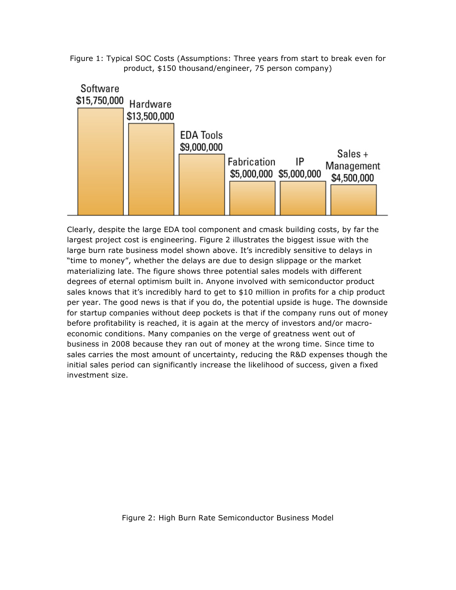



Clearly, despite the large EDA tool component and cmask building costs, by far the largest project cost is engineering. Figure 2 illustrates the biggest issue with the large burn rate business model shown above. It's incredibly sensitive to delays in "time to money", whether the delays are due to design slippage or the market materializing late. The figure shows three potential sales models with different degrees of eternal optimism built in. Anyone involved with semiconductor product sales knows that it's incredibly hard to get to \$10 million in profits for a chip product per year. The good news is that if you do, the potential upside is huge. The downside for startup companies without deep pockets is that if the company runs out of money before profitability is reached, it is again at the mercy of investors and/or macroeconomic conditions. Many companies on the verge of greatness went out of business in 2008 because they ran out of money at the wrong time. Since time to sales carries the most amount of uncertainty, reducing the R&D expenses though the initial sales period can significantly increase the likelihood of success, given a fixed investment size.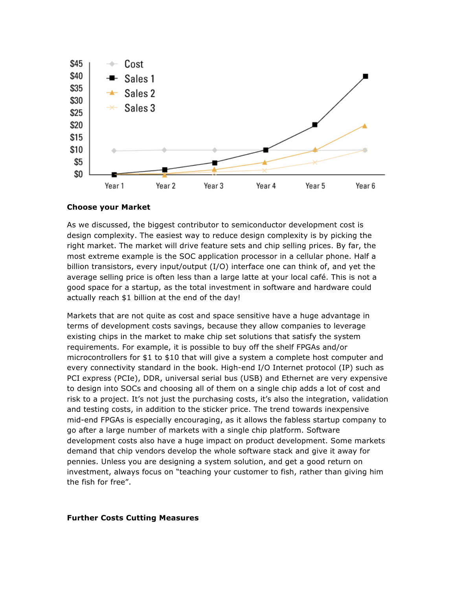

#### **Choose your Market**

As we discussed, the biggest contributor to semiconductor development cost is design complexity. The easiest way to reduce design complexity is by picking the right market. The market will drive feature sets and chip selling prices. By far, the most extreme example is the SOC application processor in a cellular phone. Half a billion transistors, every input/output (I/O) interface one can think of, and yet the average selling price is often less than a large latte at your local café. This is not a good space for a startup, as the total investment in software and hardware could actually reach \$1 billion at the end of the day!

Markets that are not quite as cost and space sensitive have a huge advantage in terms of development costs savings, because they allow companies to leverage existing chips in the market to make chip set solutions that satisfy the system requirements. For example, it is possible to buy off the shelf FPGAs and/or microcontrollers for \$1 to \$10 that will give a system a complete host computer and every connectivity standard in the book. High-end I/O Internet protocol (IP) such as PCI express (PCIe), DDR, universal serial bus (USB) and Ethernet are very expensive to design into SOCs and choosing all of them on a single chip adds a lot of cost and risk to a project. It's not just the purchasing costs, it's also the integration, validation and testing costs, in addition to the sticker price. The trend towards inexpensive mid-end FPGAs is especially encouraging, as it allows the fabless startup company to go after a large number of markets with a single chip platform. Software development costs also have a huge impact on product development. Some markets demand that chip vendors develop the whole software stack and give it away for pennies. Unless you are designing a system solution, and get a good return on investment, always focus on "teaching your customer to fish, rather than giving him the fish for free".

## **Further Costs Cutting Measures**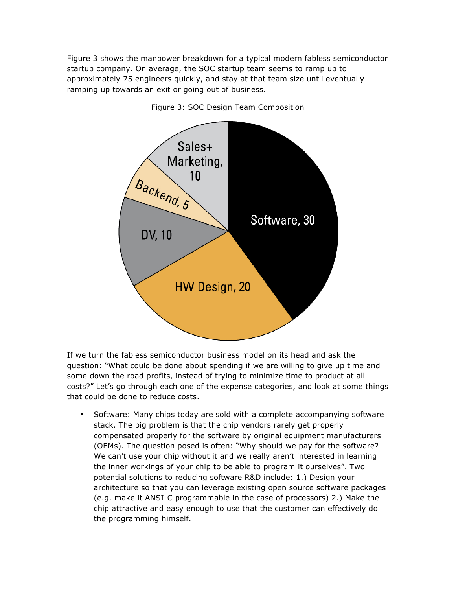Figure 3 shows the manpower breakdown for a typical modern fabless semiconductor startup company. On average, the SOC startup team seems to ramp up to approximately 75 engineers quickly, and stay at that team size until eventually ramping up towards an exit or going out of business.



Figure 3: SOC Design Team Composition

If we turn the fabless semiconductor business model on its head and ask the question: "What could be done about spending if we are willing to give up time and some down the road profits, instead of trying to minimize time to product at all costs?" Let's go through each one of the expense categories, and look at some things that could be done to reduce costs.

• Software: Many chips today are sold with a complete accompanying software stack. The big problem is that the chip vendors rarely get properly compensated properly for the software by original equipment manufacturers (OEMs). The question posed is often: "Why should we pay for the software? We can't use your chip without it and we really aren't interested in learning the inner workings of your chip to be able to program it ourselves". Two potential solutions to reducing software R&D include: 1.) Design your architecture so that you can leverage existing open source software packages (e.g. make it ANSI-C programmable in the case of processors) 2.) Make the chip attractive and easy enough to use that the customer can effectively do the programming himself.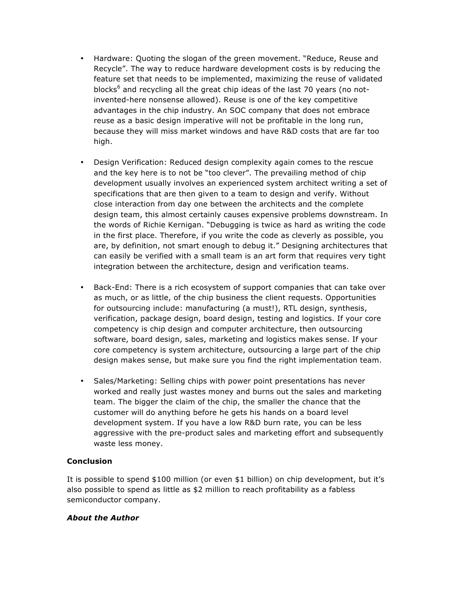- Hardware: Quoting the slogan of the green movement. "Reduce, Reuse and Recycle". The way to reduce hardware development costs is by reducing the feature set that needs to be implemented, maximizing the reuse of validated blocks<sup>6</sup> and recycling all the great chip ideas of the last 70 years (no notinvented-here nonsense allowed). Reuse is one of the key competitive advantages in the chip industry. An SOC company that does not embrace reuse as a basic design imperative will not be profitable in the long run, because they will miss market windows and have R&D costs that are far too high.
- Design Verification: Reduced design complexity again comes to the rescue and the key here is to not be "too clever". The prevailing method of chip development usually involves an experienced system architect writing a set of specifications that are then given to a team to design and verify. Without close interaction from day one between the architects and the complete design team, this almost certainly causes expensive problems downstream. In the words of Richie Kernigan. "Debugging is twice as hard as writing the code in the first place. Therefore, if you write the code as cleverly as possible, you are, by definition, not smart enough to debug it." Designing architectures that can easily be verified with a small team is an art form that requires very tight integration between the architecture, design and verification teams.
- Back-End: There is a rich ecosystem of support companies that can take over as much, or as little, of the chip business the client requests. Opportunities for outsourcing include: manufacturing (a must!), RTL design, synthesis, verification, package design, board design, testing and logistics. If your core competency is chip design and computer architecture, then outsourcing software, board design, sales, marketing and logistics makes sense. If your core competency is system architecture, outsourcing a large part of the chip design makes sense, but make sure you find the right implementation team.
- Sales/Marketing: Selling chips with power point presentations has never worked and really just wastes money and burns out the sales and marketing team. The bigger the claim of the chip, the smaller the chance that the customer will do anything before he gets his hands on a board level development system. If you have a low R&D burn rate, you can be less aggressive with the pre-product sales and marketing effort and subsequently waste less money.

# **Conclusion**

It is possible to spend \$100 million (or even \$1 billion) on chip development, but it's also possible to spend as little as \$2 million to reach profitability as a fabless semiconductor company.

# *About the Author*